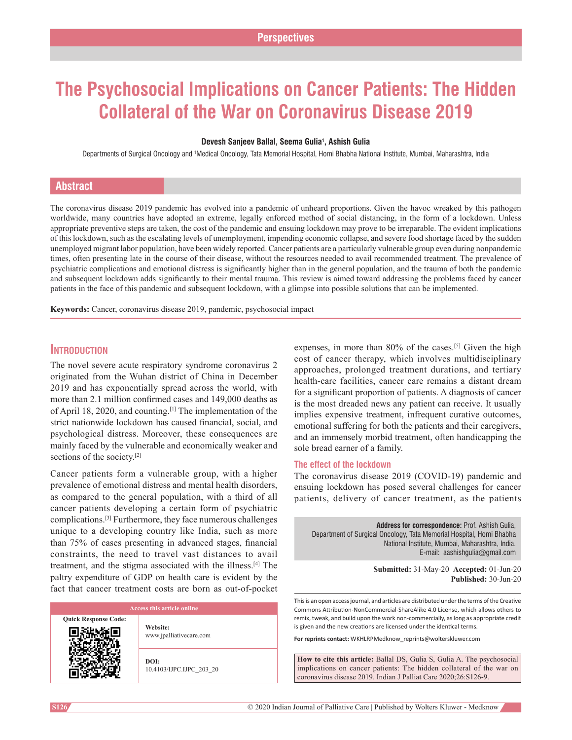# **The Psychosocial Implications on Cancer Patients: The Hidden Collateral of the War on Coronavirus Disease 2019**

#### **Devesh Sanjeev Ballal, Seema Gulia1 , Ashish Gulia**

Departments of Surgical Oncology and †Medical Oncology, Tata Memorial Hospital, Homi Bhabha National Institute, Mumbai, Maharashtra, India

# **Abstract**

The coronavirus disease 2019 pandemic has evolved into a pandemic of unheard proportions. Given the havoc wreaked by this pathogen worldwide, many countries have adopted an extreme, legally enforced method of social distancing, in the form of a lockdown. Unless appropriate preventive steps are taken, the cost of the pandemic and ensuing lockdown may prove to be irreparable. The evident implications of this lockdown, such as the escalating levels of unemployment, impending economic collapse, and severe food shortage faced by the sudden unemployed migrant labor population, have been widely reported. Cancer patients are a particularly vulnerable group even during nonpandemic times, often presenting late in the course of their disease, without the resources needed to avail recommended treatment. The prevalence of psychiatric complications and emotional distress is significantly higher than in the general population, and the trauma of both the pandemic and subsequent lockdown adds significantly to their mental trauma. This review is aimed toward addressing the problems faced by cancer patients in the face of this pandemic and subsequent lockdown, with a glimpse into possible solutions that can be implemented.

**Keywords:** Cancer, coronavirus disease 2019, pandemic, psychosocial impact

# **Introduction**

The novel severe acute respiratory syndrome coronavirus 2 originated from the Wuhan district of China in December 2019 and has exponentially spread across the world, with more than 2.1 million confirmed cases and 149,000 deaths as of April 18, 2020, and counting.[1] The implementation of the strict nationwide lockdown has caused financial, social, and psychological distress. Moreover, these consequences are mainly faced by the vulnerable and economically weaker and sections of the society.[2]

Cancer patients form a vulnerable group, with a higher prevalence of emotional distress and mental health disorders, as compared to the general population, with a third of all cancer patients developing a certain form of psychiatric complications.[3] Furthermore, they face numerous challenges unique to a developing country like India, such as more than 75% of cases presenting in advanced stages, financial constraints, the need to travel vast distances to avail treatment, and the stigma associated with the illness.[4] The paltry expenditure of GDP on health care is evident by the fact that cancer treatment costs are born as out-of-pocket

| Access this article online |                                     |
|----------------------------|-------------------------------------|
| <b>Response Code:</b>      | Website:<br>www.jpalliativecare.com |
|                            |                                     |

10.4103/IJPC.IJPC\_203\_20

expenses, in more than 80% of the cases.<sup>[5]</sup> Given the high cost of cancer therapy, which involves multidisciplinary approaches, prolonged treatment durations, and tertiary health-care facilities, cancer care remains a distant dream for a significant proportion of patients. A diagnosis of cancer is the most dreaded news any patient can receive. It usually implies expensive treatment, infrequent curative outcomes, emotional suffering for both the patients and their caregivers, and an immensely morbid treatment, often handicapping the sole bread earner of a family.

## **The effect of the lockdown**

The coronavirus disease 2019 (COVID-19) pandemic and ensuing lockdown has posed several challenges for cancer patients, delivery of cancer treatment, as the patients

**Address for correspondence:** Prof. Ashish Gulia, Department of Surgical Oncology, Tata Memorial Hospital, Homi Bhabha National Institute, Mumbai, Maharashtra, India. E‑mail: aashishgulia@gmail.com

> **Submitted:** 31-May-20 **Accepted:** 01-Jun-20 **Published:** 30-Jun-20

This is an open access journal, and articles are distributed under the terms of the Creative Commons Attribution‑NonCommercial‑ShareAlike 4.0 License, which allows others to remix, tweak, and build upon the work non‑commercially, as long as appropriate credit is given and the new creations are licensed under the identical terms.

**For reprints contact:** WKHLRPMedknow\_reprints@wolterskluwer.com

**How to cite this article:** Ballal DS, Gulia S, Gulia A. The psychosocial implications on cancer patients: The hidden collateral of the war on coronavirus disease 2019. Indian J Palliat Care 2020;26:S126-9.

**Quick** I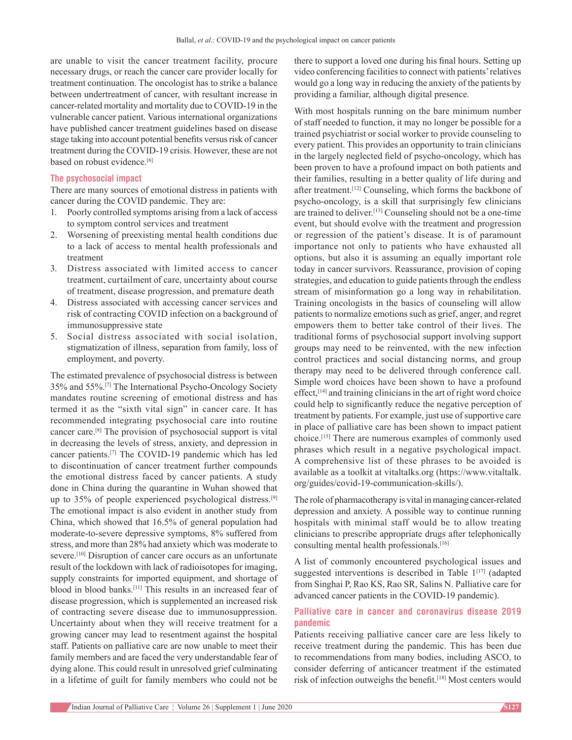are unable to visit the cancer treatment facility, procure necessary drugs, or reach the cancer care provider locally for treatment continuation. The oncologist has to strike a balance between undertreatment of cancer, with resultant increase in cancer‑related mortality and mortality due to COVID‑19 in the vulnerable cancer patient. Various international organizations have published cancer treatment guidelines based on disease stage taking into account potential benefits versus risk of cancer treatment during the COVID-19 crisis. However, these are not based on robust evidence.<sup>[6]</sup>

## **The psychosocial impact**

There are many sources of emotional distress in patients with cancer during the COVID pandemic. They are:

- 1. Poorly controlled symptoms arising from a lack of access to symptom control services and treatment
- 2. Worsening of preexisting mental health conditions due to a lack of access to mental health professionals and treatment
- 3. Distress associated with limited access to cancer treatment, curtailment of care, uncertainty about course of treatment, disease progression, and premature death
- 4. Distress associated with accessing cancer services and risk of contracting COVID infection on a background of immunosuppressive state
- 5. Social distress associated with social isolation, stigmatization of illness, separation from family, loss of employment, and poverty.

The estimated prevalence of psychosocial distress is between 35% and 55%.[7] The International Psycho‑Oncology Society mandates routine screening of emotional distress and has termed it as the "sixth vital sign" in cancer care. It has recommended integrating psychosocial care into routine cancer care.[8] The provision of psychosocial support is vital in decreasing the levels of stress, anxiety, and depression in cancer patients.<sup>[7]</sup> The COVID-19 pandemic which has led to discontinuation of cancer treatment further compounds the emotional distress faced by cancer patients. A study done in China during the quarantine in Wuhan showed that up to 35% of people experienced psychological distress.[9] The emotional impact is also evident in another study from China, which showed that 16.5% of general population had moderate-to-severe depressive symptoms, 8% suffered from stress, and more than 28% had anxiety which was moderate to severe.<sup>[10]</sup> Disruption of cancer care occurs as an unfortunate result of the lockdown with lack of radioisotopes for imaging, supply constraints for imported equipment, and shortage of blood in blood banks.[11] This results in an increased fear of disease progression, which is supplemented an increased risk of contracting severe disease due to immunosuppression. Uncertainty about when they will receive treatment for a growing cancer may lead to resentment against the hospital staff. Patients on palliative care are now unable to meet their family members and are faced the very understandable fear of dying alone. This could result in unresolved grief culminating in a lifetime of guilt for family members who could not be

there to support a loved one during his final hours. Setting up video conferencing facilities to connect with patients' relatives would go a long way in reducing the anxiety of the patients by providing a familiar, although digital presence.

With most hospitals running on the bare minimum number of staff needed to function, it may no longer be possible for a trained psychiatrist or social worker to provide counseling to every patient. This provides an opportunity to train clinicians in the largely neglected field of psycho-oncology, which has been proven to have a profound impact on both patients and their families, resulting in a better quality of life during and after treatment.[12] Counseling, which forms the backbone of psycho‑oncology, is a skill that surprisingly few clinicians are trained to deliver.<sup>[13]</sup> Counseling should not be a one-time event, but should evolve with the treatment and progression or regression of the patient's disease. It is of paramount importance not only to patients who have exhausted all options, but also it is assuming an equally important role today in cancer survivors. Reassurance, provision of coping strategies, and education to guide patients through the endless stream of misinformation go a long way in rehabilitation. Training oncologists in the basics of counseling will allow patients to normalize emotions such as grief, anger, and regret empowers them to better take control of their lives. The traditional forms of psychosocial support involving support groups may need to be reinvented, with the new infection control practices and social distancing norms, and group therapy may need to be delivered through conference call. Simple word choices have been shown to have a profound  $effect<sub>1</sub><sup>[14]</sup>$  and training clinicians in the art of right word choice could help to significantly reduce the negative perception of treatment by patients. For example, just use of supportive care in place of palliative care has been shown to impact patient choice.[15] There are numerous examples of commonly used phrases which result in a negative psychological impact. A comprehensive list of these phrases to be avoided is available as a toolkit at vitaltalks.org (https://www.vitaltalk. org/guides/covid‑19‑communication‑skills/).

The role of pharmacotherapy is vital in managing cancer-related depression and anxiety. A possible way to continue running hospitals with minimal staff would be to allow treating clinicians to prescribe appropriate drugs after telephonically consulting mental health professionals.[16]

A list of commonly encountered psychological issues and suggested interventions is described in Table 1<sup>[17]</sup> (adapted from Singhai P, Rao KS, Rao SR, Salins N. Palliative care for advanced cancer patients in the COVID-19 pandemic).

## **Palliative care in cancer and coronavirus disease 2019 pandemic**

Patients receiving palliative cancer care are less likely to receive treatment during the pandemic. This has been due to recommendations from many bodies, including ASCO, to consider deferring of anticancer treatment if the estimated risk of infection outweighs the benefit.[18] Most centers would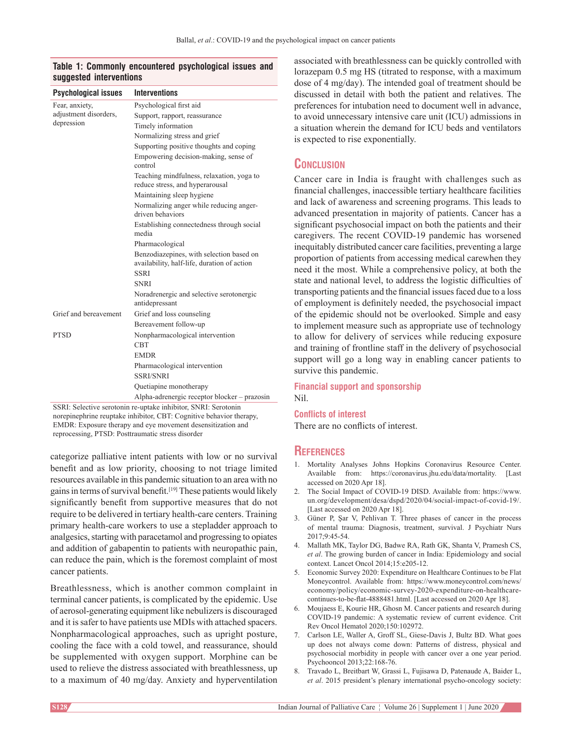## **Table 1: Commonly encountered psychological issues and suggested interventions**

| <b>Psychological issues</b> | <b>Interventions</b>                                                                    |
|-----------------------------|-----------------------------------------------------------------------------------------|
| Fear, anxiety,              | Psychological first aid                                                                 |
| adjustment disorders,       | Support, rapport, reassurance                                                           |
| depression                  | Timely information                                                                      |
|                             | Normalizing stress and grief                                                            |
|                             | Supporting positive thoughts and coping                                                 |
|                             | Empowering decision-making, sense of<br>control                                         |
|                             | Teaching mindfulness, relaxation, yoga to<br>reduce stress, and hyperarousal            |
|                             | Maintaining sleep hygiene                                                               |
|                             | Normalizing anger while reducing anger-<br>driven behaviors                             |
|                             | Establishing connectedness through social<br>media                                      |
|                             | Pharmacological                                                                         |
|                             | Benzodiazepines, with selection based on<br>availability, half-life, duration of action |
|                             | <b>SSRI</b>                                                                             |
|                             | <b>SNRI</b>                                                                             |
|                             | Noradrenergic and selective serotonergic<br>antidepressant                              |
| Grief and bereavement       | Grief and loss counseling                                                               |
|                             | Bereavement follow-up                                                                   |
| <b>PTSD</b>                 | Nonpharmacological intervention                                                         |
|                             | <b>CBT</b>                                                                              |
|                             | <b>EMDR</b>                                                                             |
|                             | Pharmacological intervention                                                            |
|                             | <b>SSRI/SNRI</b>                                                                        |
|                             | Quetiapine monotherapy                                                                  |
|                             | Alpha-adrenergic receptor blocker - prazosin                                            |

SSRI: Selective serotonin re-uptake inhibitor, SNRI: Serotonin norepinephrine reuptake inhibitor, CBT: Cognitive behavior therapy, EMDR: Exposure therapy and eye movement desensitization and reprocessing, PTSD: Posttraumatic stress disorder

categorize palliative intent patients with low or no survival benefit and as low priority, choosing to not triage limited resources available in this pandemic situation to an area with no gains in terms of survival benefit.[19] These patients would likely significantly benefit from supportive measures that do not require to be delivered in tertiary health-care centers. Training primary health‑care workers to use a stepladder approach to analgesics, starting with paracetamol and progressing to opiates and addition of gabapentin to patients with neuropathic pain, can reduce the pain, which is the foremost complaint of most cancer patients.

Breathlessness, which is another common complaint in terminal cancer patients, is complicated by the epidemic. Use of aerosol‑generating equipment like nebulizers is discouraged and it is safer to have patients use MDIs with attached spacers. Nonpharmacological approaches, such as upright posture, cooling the face with a cold towel, and reassurance, should be supplemented with oxygen support. Morphine can be used to relieve the distress associated with breathlessness, up to a maximum of 40 mg/day. Anxiety and hyperventilation associated with breathlessness can be quickly controlled with lorazepam 0.5 mg HS (titrated to response, with a maximum dose of 4 mg/day). The intended goal of treatment should be discussed in detail with both the patient and relatives. The preferences for intubation need to document well in advance, to avoid unnecessary intensive care unit (ICU) admissions in a situation wherein the demand for ICU beds and ventilators is expected to rise exponentially.

# **Conclusion**

Cancer care in India is fraught with challenges such as financial challenges, inaccessible tertiary healthcare facilities and lack of awareness and screening programs. This leads to advanced presentation in majority of patients. Cancer has a significant psychosocial impact on both the patients and their caregivers. The recent COVID-19 pandemic has worsened inequitably distributed cancer care facilities, preventing a large proportion of patients from accessing medical carewhen they need it the most. While a comprehensive policy, at both the state and national level, to address the logistic difficulties of transporting patients and the financial issues faced due to a loss of employment is definitely needed, the psychosocial impact of the epidemic should not be overlooked. Simple and easy to implement measure such as appropriate use of technology to allow for delivery of services while reducing exposure and training of frontline staff in the delivery of psychosocial support will go a long way in enabling cancer patients to survive this pandemic.

#### **Financial support and sponsorship** Nil.

**Conflicts of interest** There are no conflicts of interest.

## **References**

- 1. Mortality Analyses Johns Hopkins Coronavirus Resource Center. Available from: https://coronavirus.jhu.edu/data/mortality. [Last accessed on 2020 Apr 18].
- 2. The Social Impact of COVID‑19 DISD. Available from: https://www. un.org/development/desa/dspd/2020/04/social-impact-of-covid-19/. [Last accessed on 2020 Apr 18].
- 3. Güner P, Şar V, Pehlivan T. Three phases of cancer in the process of mental trauma: Diagnosis, treatment, survival. J Psychiatr Nurs 2017;9:45‑54.
- 4. Mallath MK, Taylor DG, Badwe RA, Rath GK, Shanta V, Pramesh CS, *et al*. The growing burden of cancer in India: Epidemiology and social context. Lancet Oncol 2014;15:e205-12.
- 5. Economic Survey 2020: Expenditure on Healthcare Continues to be Flat Moneycontrol. Available from: https://www.moneycontrol.com/news/ economy/policy/economic-survey-2020-expenditure-on-healthcarecontinues-to-be-flat-4888481.html. [Last accessed on 2020 Apr 18].
- 6. Moujaess E, Kourie HR, Ghosn M. Cancer patients and research during COVID‑19 pandemic: A systematic review of current evidence. Crit Rev Oncol Hematol 2020;150:102972.
- 7. Carlson LE, Waller A, Groff SL, Giese-Davis J, Bultz BD. What goes up does not always come down: Patterns of distress, physical and psychosocial morbidity in people with cancer over a one year period. Psychooncol 2013;22:168‑76.
- 8. Travado L, Breitbart W, Grassi L, Fujisawa D, Patenaude A, Baider L, *et al*. 2015 president's plenary international psycho‑oncology society: